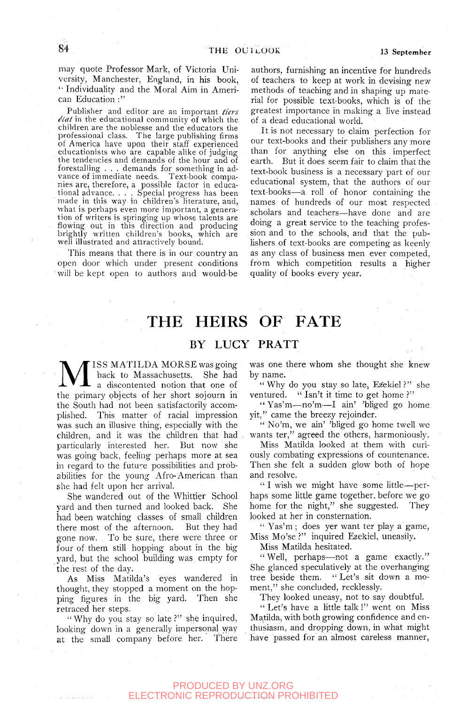may quote Professor Mark, of Victoria University, Manchester, England, in his book, '• Individuality and the Moral Aim in American Education  $\cdot$ "

Publisher and editor are an important *tiers*   $\ell$ *lat* in the educational community of which the children are the noblesse and the educators the professional class. The large publishing firms of America have upon their staff experienced educationists who are capable alike of judging the tendencies and demands of the hour and of forestalling . . . demands for something in advance of immediate needs. Text-book companies are, therefore, a possible factor in educational advance. . . . Special progress has been made in this way in children's literature, and, what is perhaps even more important, a generation of writers is springing up whose talents are flowing out in this direction and producing brightly written children's books, which are well illustrated and attractively bound.

This means that there is in our country an open door which under present conditions will be kept open to authors and would-be

authors, furnishing an incentive for hundreds of teachers to keep at work in devising new methods of teaching and in shaping up material for possible text-books, which is of the greatest importance in making a live instead of a dead educational world.

It is not necessary to claim perfection for our text-books and their publishers any more than for anything else on this imperfect earth. But it does seem fair to claim that the text-book business is a necessary part of our educational system, that the authors of our text-books—a roll of honor containing the names of hundreds of our most respected scholars and teachers—have done and are doing a great service to the teaching profession and to the schools, and that the publishers of text-books are competing as keenly as any class of business men ever competed, from which competition results a higher quality of books every year.

# THE HEIRS OF FATE

### BY LUCY PRATT

**M** ISS MATILDA MORSE was going<br>a back to Massachusetts. She had<br>the primary objects of her short sojourn in ISS MATILDA MORSE was going back to Massachusetts. She had a discontented notion that one of the South had not been satisfactorily accomplished. This matter of racial impression was such an illusive thing, especially with the children, and it was the children that had particularly interested her. But now she was going back, feeling perhaps more at sea in regard to the future possibilities and probabilities for the young Afro-American than she had felt upon her arrival.

She wandered out of the Whittjer School yard and then turned and looked back. She had been watching classes of small children there most of the afternoon. But they had gone now. To be sure, there were three or four of them still hopping about in the big yard, but the school building was empty for the rest of the day.

As Miss Matilda's eyes wandered in thought, they stopped a moment on the hopping figures in the big yard. Then she retraced her steps.

" Why do you stay so late ?" she inquired, looking down in a generally impersonal way at the small company before her. There

was one there whom she thought she knew by name.

" Why do you stay so late, Ezekiel ?" she ventured. " Isn't it time to get home ?"

" Yas'm-—no'm—I ain' 'bliged go home yit," came the breezy rejoinder.

" No'm, we ain' 'bliged go home twell we wants ter," agreed the others, harmoniously.

Miss Matilda looked at them with curiously combating expressions of countenance. Then she felt a sudden glow both of hope and resolve.

" I wish we might have some little—perhaps some little game together, before we go home for the night," she suggested. They looked at her in consternation.

'• Yas'm ; does yer want ter play a game. Miss Mo'se ?" inquired Ezekiel, uneasily.

Miss Matilda hesitated.

"Well, perhaps—not a game exactly." She glanced speculatively at the overhanging tree beside them. " Let's sit down a moment," she concluded, recklessly.

They looked uneasy, not to say doubtful,

" Let's have a little talk 1" went on Miss Matilda, with both growing confidence and enthusiasm, and dropping down, in what might have passed for an almost careless manner,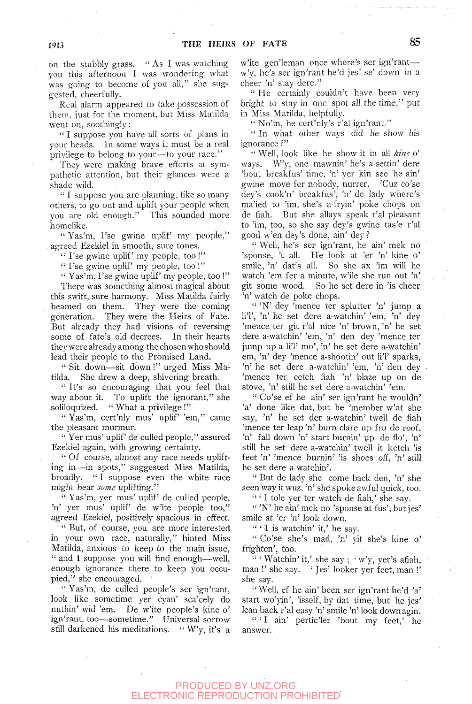on the stubbly grass. " As I was watching you this afternoon I was wondering what was going to become of you all," she suggested, cheerfully.

Real alarm appeared to take possession of them, just for the moment, but Miss Matilda went on, soothingly:

"I suppose you have all sorts of plans in your heads. In some ways it must be a real privilege to belong to your—to your race."

They were making brave efforts at sympathetic attention, but their glances were a shade wild.

" I suppose you are planning, like so many others, to go out and uplift your people when you are old enough." This sounded more homelike.

" Yas'm, I'se gwine uplif' my people," agreed Ezekiel in smooth, sure tones.

" I'se gwine uplif' my people, too!"

" I'se gwine uplif' my people, too !"

"  $Yas'm, I'se gwine uplif'my people, too!"$ There was something almost magical about

this swift, sure harmony. Miss Matilda fairly beamed on them. They were the coming generation. They were the Heirs of Fate. But already they had visions of reversing some of fate's old decrees. In their hearts they were already among the chosen who should lead their people to the Promised Land.

" Sit down—sit down !" urged Miss Matilda. She drew a deep, shivering breath.

" It's so encouraging that you feel that way about it. To uplift the ignorant," she soliloquized. " What a privilege!"

" Yas'm, cert'nly mus' uplif' 'em," came the pleasant murmur.

" Yer mus' uplif' de culled people," assured Ezekiel again, with growing certainty.

" Of course, almost any race needs uplifting in—in spots," suggested Miss Matilda, broadly. " I suppose even the white race might bear *some* uplifting."

" Yas'm, yer mus' uplif' de culled people, 'n' yer mus' uplif' de w'ite people too," agreed Ezekiel, positively spacious in effect.

" But, of course, you are more interested in your own race, naturally," hinted Miss Matilda, anxious to keep to the main issue, " and I suppose you will find enough—well, enough ignorance there to keep you occupied," she encouraged. '

" Yas'm, de culled people's ser ign'rant, look like sometime yer cyan' sca'cely do nuthin' wid 'em. De w'ite people's kine o' ign'rant, too—sometime." Universal sorrow still darkened his meditations. " W'y, it's a w'ite gen'leman once where's ser ign'rant w'y, he's ser ign'rant he'd jes' se' down in a cheer 'n' stay dere."

" He certainly couldn't have been very bright to stay in one spot all the time," put in Miss Matilda, helpfully.

•" No'm, he cert'nly's r'al ign'rant."

" In what other ways did he show his ignorance ?"

" Well, look like he show it in all *kine* o' ways. W'y, one mawnin' he's a-settin' dere 'bout breakfus' time, 'n' yer kin see he ain' gwine move fer nobody, nurrer. 'Cuz co'se dey's cook'n' breakfus', 'n' de lady where's ma'ied to 'im, she's a-fryin' poke chops on de fiah. But she allays speak r'al pleasant to 'im, too, so she say dey's gwine tas'e r'al good w'en dey's done, ain' dey ?

" Well, he's ser ign'rant, he ain' mek no 'sponse, 't all. He look at 'er 'n' kine o' smile, 'n' dat's all. So she ax 'im will he watch 'em fer a minute, w'ile she run out 'n' git some wood. So he set dere in 'is cheer 'n' watch de poke chops.

" 'N' dey 'mence ter splutter 'n' jump a liT, 'n' he set dere a-watchin' 'em, 'n' dey 'mence ter git r'al nice 'n' brown, 'n' he set dere a-watchin' 'em, 'n' den dey 'mence ter jump up a li'l' mo', 'n' he set dere a-watchin' em, 'n' dey 'mence a-shootin' out li'l' sparks, 'n' he set dere a-watchin' 'em, 'n' den dey 'mence ter cetch fiah 'n' blaze up on de stove, 'n' still he set dere a-watchin' 'em.

" Co'se ef he ain' ser ign'rant he wouldn' 'a' done like dat, but he 'member w'at she say, 'n' he set der a-watchin' twell de fiah 'mence ter leap 'n' burn clare up fru de roof, 'n' fall down 'n' start burnin' up de flo', 'n' still he set dere a-watchin' twell it ketch 'is feet 'n' 'mence burnin' 'is shoes off, 'n' still he set dere a-watchin'.

" But de lady she come back den, 'n' she seen way it wuz, 'n' she spoke awful quick, too.

" 'I tole yer ter watch de fiah,' she say.

" 'N' he ain' mek no 'sponse at fus', but jes' smile at 'er 'n' look down.

" ' I is watchin' it,' he say.

" Co'se she's mad, 'n' yit she's kine o' frighten', too.

" ' Watchin' it,' she say ; ' w'y, yer's afiah, man !' she say. ' Jes' looker yer feet, man !' she say.

" Well, ef he ain' been ser ign'rant he'd 'a' start wo'yin', 'isself, by dat time, but he jes' lean back r'al easy 'n' smile 'n' look down agin.

" 'I ain' pertic'ler 'bout my feet,' he answer.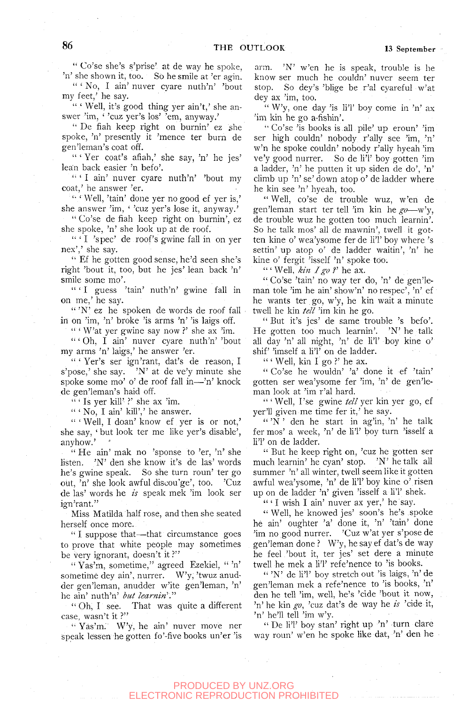" Co'se she's s'prise' at de way he spoke, 'n' she shown it, too. So he smile at 'er agin.

" ' No, I ain' nuver cyare nuth'n' 'bout my feet,' he say.

" ' Well, it's good thing yer ain't,' she answer 'im, ' 'cuz yer's los' 'em, anyway.'

" De fiah keep right on burnin' ez she spoke, 'n' presently it 'mence ter burn de gen'leman's coat off.

" ' Yer coat's afiah,' she say, 'n' he jes' lean back easier 'n befo'.

" 'I ain' nuver cyare nuth'n' 'bout my coat,' he answer 'er.

'• ' Well, 'tain' done yer no good ef yer is,' she answer 'im, ' 'cuz yer's lose it, anyway.'

" Co'se de fiah keep right on burnin', ez she spoke, 'n' she look up at de roof.

" ' I 'spec' de roof's gwine fall in on yer nex',' she say.

" Ef he gotten good sense, he'd seen she's right 'bout it, too, but he jes' lean back 'n' smile some mo'.

" 'I guess 'tain' nuth'n' gwine fall in on me,' he say.

" 'N' ez he spoken de words de roof fall in on 'im, 'n' broke 'is arms 'n' 'is laigs off.

" ' W'at yer gwine say now *V* she ax 'im.

" 'Oh, I ain' nuver cyare nuth'n' 'bout my arms 'n' laigs,' he answer 'er.

" ' Yer's ser ign'rant, dat's de reason, I s'pose,' she say. 'N' at de ve'y minute she spoke some mo' o' de roof fall in-'n' knock de gen'leman's haid off.

" ' Is yer kill' *V* she ax 'im.

 $``$  'No, I ain' kill',' he answer.

" 'Well, I doan' know ef yer is or not,' she say, ' but look ter me like yer's disable', anyhow.'

" He ain' mak no 'sponse to 'er, 'n' she listen. 'N' deri she know it's de las' words he's gwine speak. So she turn roun' ter go out, 'n' she look awful discou'ge', too. 'Cuz de las' words he *ts* speak mek 'im look ser ign'rant."

Miss Matilda half rose, and then she seated herself once more.

" I suppose that—that circumstance goes to prove that white people may sometimes be very ignorant, doesn't it?"

" Yas'm, sometime," agreed Ezekiel, " 'n' sometime dey ain', nurrer. W'y, 'twuz anudder gen'leman, anudder w'ite gen'leman, 'n' he ain' nuth'n' *but learnin*'."

" Oh, I see. That was quite a different case, wasn't it ?"

'• Yas'm. W'y, he ain' nuver move ner speak lessen he gotten fo'-five books un'er 'is arm. 'N' w'en he is speak, trouble is he know ser much he couldn' nuver seem ter stop. So dey's 'blige be r'al cyareful w'at dey ax 'im, too.

" W'y, one day 'is li'l' boy come in 'n' ax 'im kin he go a-fishin'.

"Co'se 'is books is,all pile' up eroun' 'im ser high couldn' nobody r'ally see 'im, 'n' w'n he spoke couldn' nobody r'ally hyeah 'im ve'y good nurrer. So de li'l' boy gotten 'im a ladder, 'n' he putten it up siden de do', 'n' climb up 'n' se' down atop o' de ladder where he kin see 'n' hyeah, too.

" Well, co'se de trouble wuz, w'en de gen'leman start ter tell 'im kin he *go*—w'y, de trouble wuz he gotten too much learnin'. So he talk mos' all de mawnin', twell it gotten kine o' wea'ysome fer de li'l' boy where 's settin' up atop o' ds ladder waitin', 'n' he kine o' fergit 'isself 'n' spoke too.

" ' Well, *kin I go V* he ax.

" Co'se 'tain' no way ter do, 'n' de gen'leman tole 'im he ain' show'n' no respec', 'n' ef he wants ter go, w'y, he kin wait a minute twell he kin *tell* 'im kin he go.

" But it's jes' de same trouble 's befo'. He gotten too much learnin'. 'N' he talk all day 'n' all night, 'n' de li'l' boy kine o' shif' 'imself a li'l' on de ladder.

" ' Well, kin I go ?' he ax.

" Co'se he wouldn' 'a' done it ef 'tain' gotten ser wea'ysome fer 'im, 'n' de gen'leman look at 'im r'al hard.

" ' Well, I'se gwine *tell* yer kin yer go, ef yer'll given me time fer it,' he say.

" $'$ N' den he start in ag'in, 'n' he talk fer mos' a week, 'n' de li'l' boy turn 'isself a li'l' on de ladder.

" But he keep right on, 'cuz he gotten ser much learnin' he cyan' stop. 'N' he talk all summer 'n' all winter, twell seem like it gotten awful wea'ysome, 'n' de li'l'boy kine o' risen up on de ladder 'n' given 'isself a li'l' shek.

" ' I wish I ain' nuver ax yer,' he say.

" Well, he knowed jes' soon's he's spoke he ain' oughter 'a' done it, 'n' 'tain' done 'im no good nurrer. 'Cuz w'at yer s'pose de gen'leman done ? W'y, he say ef dat's de way he feel 'bout it, ter jes' set dere a minute twell he mek a li'l' refe'nence to 'is books.

" 'N' de li'l' boy stretch out 'is laigs, 'n' de gen'leman mek a refe'nence to 'is books, 'n' den he tell 'im, well, he's 'cide 'bout it now, 'n' he kin *go,* 'cuz dat's de way he *is* 'cide it, 'n' he'll tell 'im w'y.

" De li'l' boy stan' right up 'n' turn clare way roun' w'en he spoke like dat, 'n' den he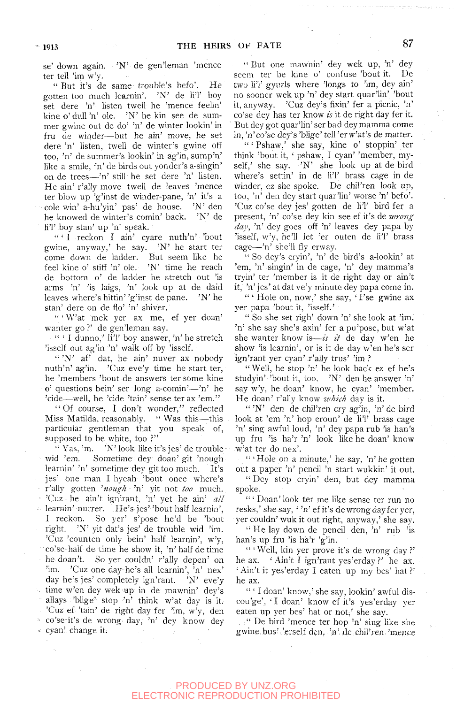se' down again. 'N' de gen'leman 'mence ter tell 'im w'y.

" But it's de same trouble's befo'. He gotten too much learnin'. 'N' de li'l' boy set dere 'n' listen twell he 'mence feelin' kine o' dull 'n' ole. 'N' he kin see de summer gwine out de do' 'n' de winter lookin' in fru de winder—but he ain' move, he set dere 'n' listen, twell de winter's gwine off too, 'n' de summer's lookin' in ag'in, sump'n' like a smile, 'n' de birds out yonder's a-singin' on de trees—'n' still he set dere 'n' listen. He ain' r'ally move twell de leaves 'mence ter blow up 'g'inst de winder-pane, 'n' it's a cole win' a-hu'yin' pas' de house. 'N' den he knowed de winter's comin' back. 'N' de li'l' boy Stan' up 'n' speak.

 $``$  I reckon I ain' cyare nuth'n' 'bout gwine, anyway,' he say. 'N' he start ter come down de ladder. But seem like he feel kine o' stiff 'n' ole. 'N' time he reach de bottom o' de ladder he stretch out 'is arms 'n' 'is laigs, 'n' look up at de daid leaves where's hittin' 'g'inst de pane. 'N' he Stan' dere on de fio' 'n' shiver.

" ' W'at mek yer ax me, ef yer doan' wanter go ?' de gen'leman say.

" ' I dunno,' li'l' boy answer, 'n' he stretch 'isself out ag'in 'n' walk off by 'isself.

" 'N' af' dat, he ain' nuver ax nobody nuth'n' ag'in. 'Cuz eve'y time he start ter, he 'members 'bout de answers ter some kine o' questions bein' ser long a-comin'—'n' he 'cide—well, he 'cide 'tain' sense ter ax 'em."

" Of course, I don't wonder," reflected Miss Matilda, reasonably. " Was this—this particular gentleman that you speak of, supposed to be white, too ?"

" Yas, 'm.  $\forall$  'N' look like it's jes' de trouble wid 'em, Sometime dey doan' git 'nough learnin' 'n' sometime dey git too much. It's jes' One man I hyeah 'bout once where's r'ally gotten *^nough* 'n' yit not *too* much. • 'Cuz he ain't ign'rant, 'n' yet he ain' *all*  learnin' nurrer. He's jes' 'bout half learnin', I reckon. So yer' s'pose he'd be 'bout right. 'N' yit dat's jes' de trouble wid 'im. 'Cuz 'counten only bein' half learnin', w'y, co'sehalf de time he show it, 'n'half de time he doan't. So yer couldn' r'ally depen' on 'im. 'Cuz one day he's all learnin', 'n' nex' day he's jes'completely ign'rant. 'N' eve'y time w'en dey wek up in de mawnin' dey's allays 'blige' stop 'n' think w'at day is it. 'Cuz ef 'tain' de right day fer 'im, w'y, den co'se it's de wrong day, 'n' dey know dey cyan' change it.

" But one mawnin' dey wek up, 'n' dey seem ter be kine o' confuse 'bout it. De two li'l' gyurls where 'longs to 'im, dey ain' no sooner wek up 'n' dey start quar'Un' 'bout it, anyway. 'Cuz dey's fixin' fer a picnic, 'n' co'se dey has ter know *is* it de right day fer it. But dey got quar'lin' ser bad dey mamma come in,'n'co'se dey's'blige'tell'erw'at's de matter.

" ' Pshaw,' she say, kine o' stoppin' ter think 'bout it, ' pshaw, I cyan' 'member, myself,' she say.  $\overline{N}$ ' she look up at de bird where's settin' in de li'l' brass cage in de winder, ez she spoke. De chil'ren look up, too, 'n' den dey start quar'lin' worse 'n' befo'. 'Cuz co'se dey jes' gotten de li'l' bird fer a present, 'n' co'se dey kin see ef it's de *wrong day,* 'n' dey goes off 'n' leaves dey papa by 'isself, w'y, he'll let 'er outen de li'l' brass cage—'n' she'll fly erway.

" So dey's cryin', 'n' de bird's a-lookin' at 'em, 'n' singin' in de cage, 'n' dey mamma's tryin' ter 'member is it de right day or ain't it, 'n' jes' at dat ve'y minute dey papa come in. " ' Hole on, now,' she say, ' I'se gwine ax yer papa 'bout it, 'isself.'

" So she set righ' down 'n' she look at 'im, 'n' she say she's axin' fer apu'pose, but w'at she wanter know is—*is it* de day w'en he show 'is learnin', or is it de day w'en he's ser ign'rant yer cyan' r'ally trus' 'im ?

"Well, he stop 'n' he look back ez ef he's studyin' 'bout it, too. 'N' den he answer 'n' say w'y, he doan' know, he cyan' 'member. He doan' r'ally know *which* day is it.

" 'N' den de chil'ren cry ag'in, 'n' de bird look at 'em 'n' hop eroun' de li'l' brass cage 'n' sing awful loud, 'n' dey papa rub 'is ban's up fru 'is ha'r 'n' look like he doan' know w'at ter do nex'.

" 'Hole on a minute,' he say, 'n' he gotten out a paper 'n' pencil 'n start wukkin' it out.

" Dey stop cryin' den, but dey mamma spoke.

'•' Doan'look ter me like sense ter run no resks,' she say, ' 'n' ef it's de wrong day fer yer, yer couldn' wuk it out right, anyway,' she say.

" He lay down de pencil den, 'n' rub 'is ban's up fru 'is ha'r 'g'in.

" ' Well, kin yer prove it's de wrong day ?' he ax. ' Ain't I ign'rant yes'erday ?' he ax. ' Ain't it yes'erday I eaten up my bes' hat ?' he ax.

" ' I doan' know,' she say, lookin' awful discou'ge', ' I doan' know ef it's yes'erday yer eaten up yer bes' hat or not,' she say.

. " De bird 'mence ter hop 'n' sing like she gwine bus' 'erself den, 'n' de chil'ren 'mence